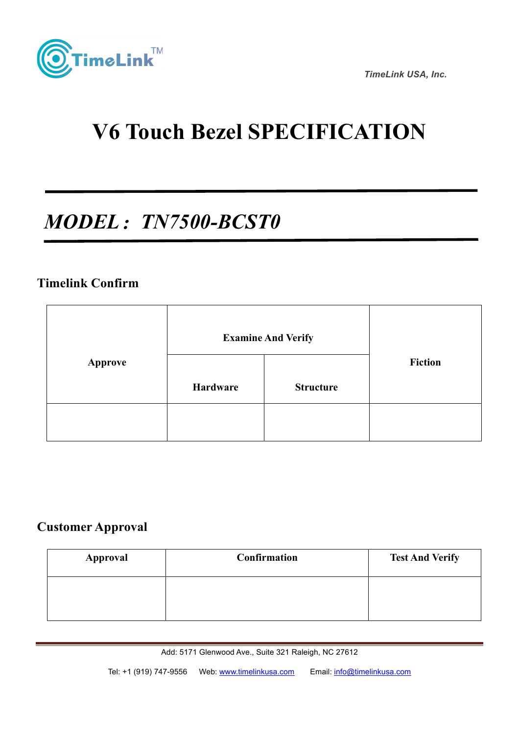

 *TimeLink USA, Inc.*

# **V6 Touch Bezel SPECIFICATION**

## *MODEL*:*TN7500-BCST0*

#### **Timelink Confirm**

ing<br>S

|                | <b>Examine And Verify</b> |                  |                |
|----------------|---------------------------|------------------|----------------|
| <b>Approve</b> | Hardware                  | <b>Structure</b> | <b>Fiction</b> |
|                |                           |                  |                |

#### **Customer Approval**

| <b>Approval</b> | Confirmation | <b>Test And Verify</b> |
|-----------------|--------------|------------------------|
|                 |              |                        |
|                 |              |                        |

Add: 5171 Glenwood Ave., Suite 321 Raleigh, NC 27612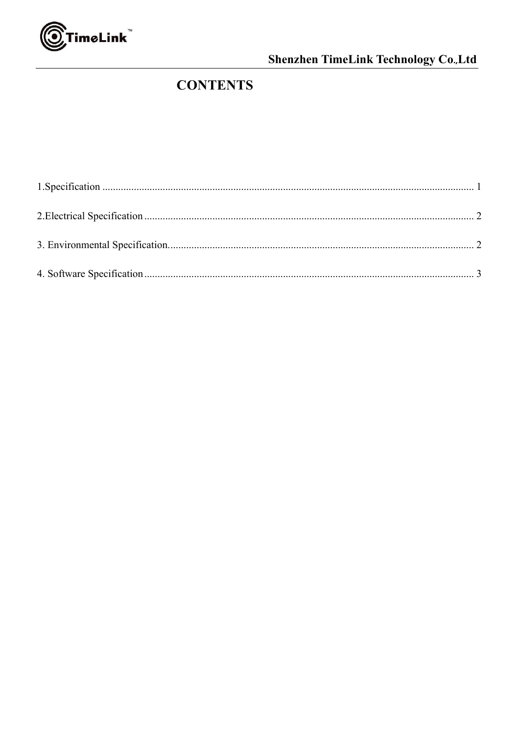

#### Shenzhen TimeLink Technology Co.,Ltd

### **CONTENTS**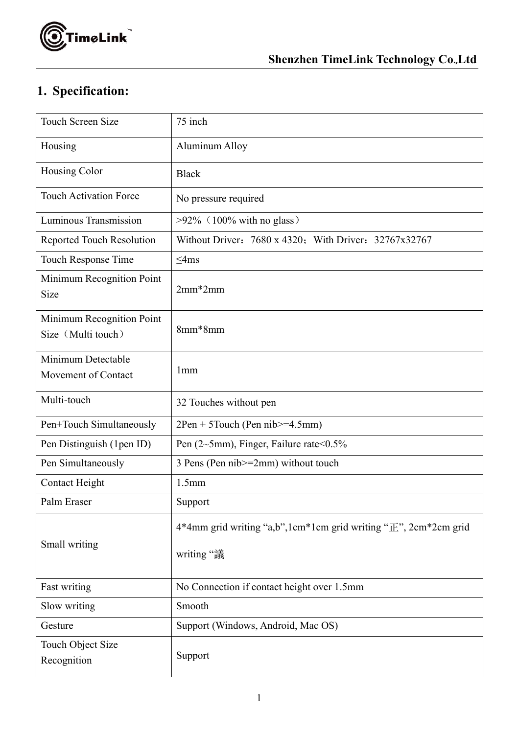

#### **1. Specification:**

| <b>Touch Screen Size</b>                        | 75 inch                                                                            |
|-------------------------------------------------|------------------------------------------------------------------------------------|
| Housing                                         | <b>Aluminum Alloy</b>                                                              |
| <b>Housing Color</b>                            | <b>Black</b>                                                                       |
| <b>Touch Activation Force</b>                   | No pressure required                                                               |
| Luminous Transmission                           | $>92\%$ (100% with no glass)                                                       |
| <b>Reported Touch Resolution</b>                | Without Driver: 7680 x 4320; With Driver: 32767x32767                              |
| Touch Response Time                             | $\leq$ 4ms                                                                         |
| Minimum Recognition Point<br>Size               | $2mm*2mm$                                                                          |
| Minimum Recognition Point<br>Size (Multi touch) | 8mm*8mm                                                                            |
| Minimum Detectable<br>Movement of Contact       | 1 <sub>mm</sub>                                                                    |
| Multi-touch                                     | 32 Touches without pen                                                             |
| Pen+Touch Simultaneously                        | $2Pen + 5Touch$ (Pen nib $\geq 4.5mm$ )                                            |
| Pen Distinguish (1pen ID)                       | Pen (2~5mm), Finger, Failure rate<0.5%                                             |
| Pen Simultaneously                              | 3 Pens (Pen nib>=2mm) without touch                                                |
| <b>Contact Height</b>                           | 1.5mm                                                                              |
| Palm Eraser                                     | Support                                                                            |
| Small writing                                   | 4*4mm grid writing "a,b", 1cm*1cm grid writing " $E$ ", 2cm*2cm grid<br>writing "議 |
| Fast writing                                    | No Connection if contact height over 1.5mm                                         |
| Slow writing                                    | Smooth                                                                             |
| Gesture                                         | Support (Windows, Android, Mac OS)                                                 |
| Touch Object Size<br>Recognition                | Support                                                                            |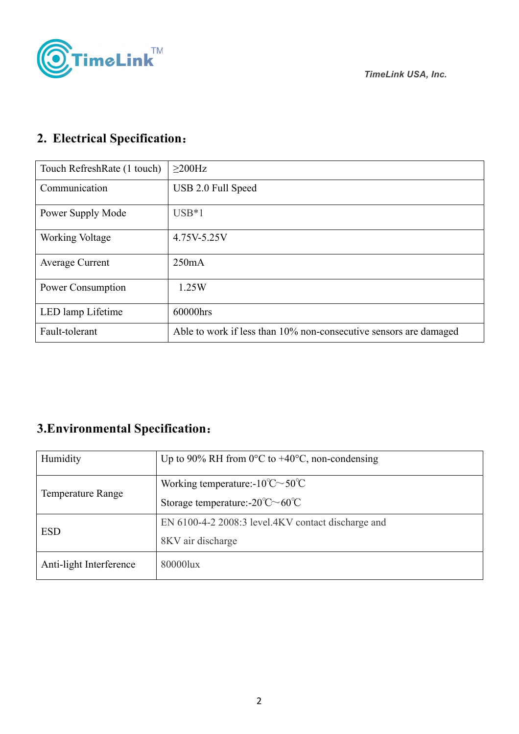

## **2. Electrical Specification**:

| Touch RefreshRate (1 touch) | $>200$ Hz                                                         |
|-----------------------------|-------------------------------------------------------------------|
| Communication               | USB 2.0 Full Speed                                                |
| Power Supply Mode           | $USB*1$                                                           |
| Working Voltage             | 4.75V-5.25V                                                       |
| <b>Average Current</b>      | 250mA                                                             |
| Power Consumption           | 1.25W                                                             |
| LED lamp Lifetime           | 60000hrs                                                          |
| Fault-tolerant              | Able to work if less than 10% non-consecutive sensors are damaged |

#### **3.Environmental Specification**:

| Humidity                 | Up to 90% RH from 0°C to $+40$ °C, non-condensing           |
|--------------------------|-------------------------------------------------------------|
| <b>Temperature Range</b> | Working temperature:- $10^{\circ}$ C $\sim$ 50 $^{\circ}$ C |
|                          | Storage temperature:- $20^{\circ}$ C $\sim$ 60 $^{\circ}$ C |
| <b>ESD</b>               | EN 6100-4-2 2008:3 level.4KV contact discharge and          |
|                          | 8KV air discharge                                           |
| Anti-light Interference  | 80000lux                                                    |